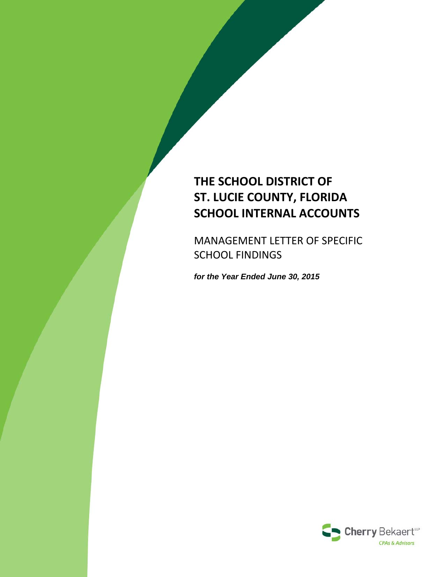# **THE SCHOOL DISTRICT OF ST. LUCIE COUNTY, FLORIDA SCHOOL INTERNAL ACCOUNTS**

MANAGEMENT LETTER OF SPECIFIC SCHOOL FINDINGS

*for the Year Ended June 30, 2015*

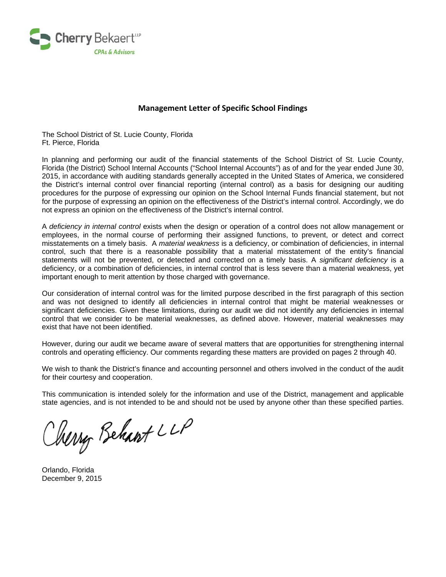

#### **Management Letter of Specific School Findings**

The School District of St. Lucie County, Florida Ft. Pierce, Florida

In planning and performing our audit of the financial statements of the School District of St. Lucie County, Florida (the District) School Internal Accounts ("School Internal Accounts") as of and for the year ended June 30, 2015, in accordance with auditing standards generally accepted in the United States of America, we considered the District's internal control over financial reporting (internal control) as a basis for designing our auditing procedures for the purpose of expressing our opinion on the School Internal Funds financial statement, but not for the purpose of expressing an opinion on the effectiveness of the District's internal control. Accordingly, we do not express an opinion on the effectiveness of the District's internal control.

A *deficiency in internal control* exists when the design or operation of a control does not allow management or employees, in the normal course of performing their assigned functions, to prevent, or detect and correct misstatements on a timely basis. A *material weakness* is a deficiency, or combination of deficiencies, in internal control, such that there is a reasonable possibility that a material misstatement of the entity's financial statements will not be prevented, or detected and corrected on a timely basis. A *significant deficiency* is a deficiency, or a combination of deficiencies, in internal control that is less severe than a material weakness, yet important enough to merit attention by those charged with governance.

Our consideration of internal control was for the limited purpose described in the first paragraph of this section and was not designed to identify all deficiencies in internal control that might be material weaknesses or significant deficiencies. Given these limitations, during our audit we did not identify any deficiencies in internal control that we consider to be material weaknesses, as defined above. However, material weaknesses may exist that have not been identified.

However, during our audit we became aware of several matters that are opportunities for strengthening internal controls and operating efficiency. Our comments regarding these matters are provided on pages 2 through 40.

We wish to thank the District's finance and accounting personnel and others involved in the conduct of the audit for their courtesy and cooperation.

This communication is intended solely for the information and use of the District, management and applicable state agencies, and is not intended to be and should not be used by anyone other than these specified parties.

Nerry Behart LLP

Orlando, Florida December 9, 2015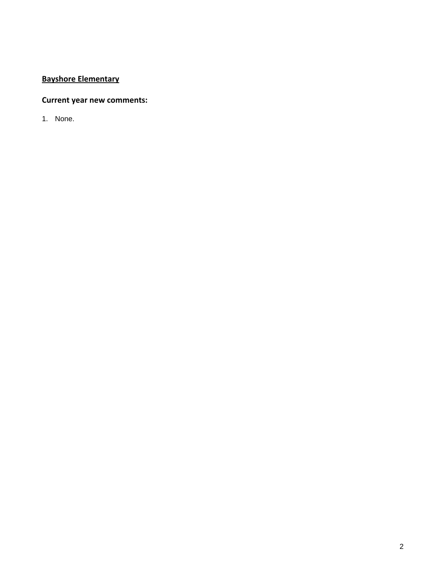# **Bayshore Elementary**

### **Current year new comments:**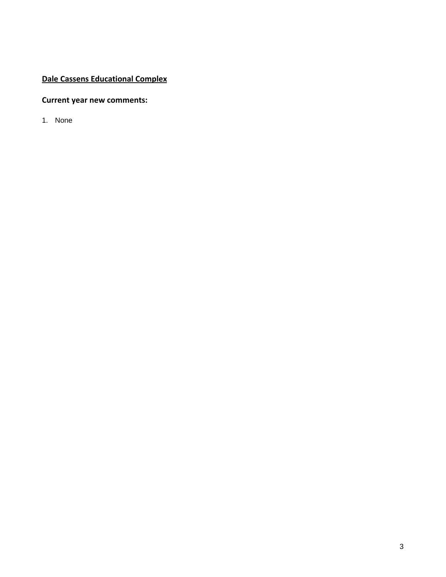# **Dale Cassens Educational Complex**

### **Current year new comments:**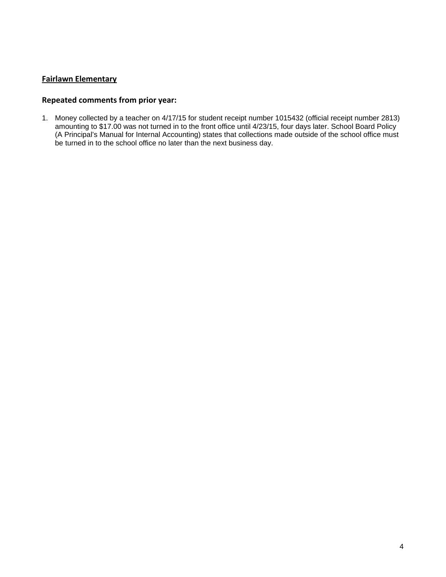#### **Fairlawn Elementary**

#### **Repeated comments from prior year:**

1. Money collected by a teacher on 4/17/15 for student receipt number 1015432 (official receipt number 2813) amounting to \$17.00 was not turned in to the front office until 4/23/15, four days later. School Board Policy (A Principal's Manual for Internal Accounting) states that collections made outside of the school office must be turned in to the school office no later than the next business day.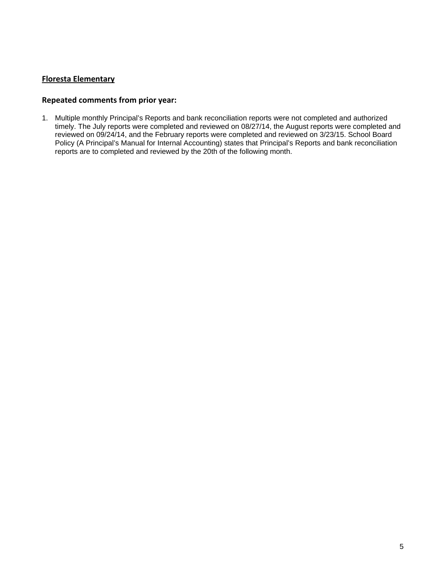#### **Floresta Elementary**

#### **Repeated comments from prior year:**

1. Multiple monthly Principal's Reports and bank reconciliation reports were not completed and authorized timely. The July reports were completed and reviewed on 08/27/14, the August reports were completed and reviewed on 09/24/14, and the February reports were completed and reviewed on 3/23/15. School Board Policy (A Principal's Manual for Internal Accounting) states that Principal's Reports and bank reconciliation reports are to completed and reviewed by the 20th of the following month.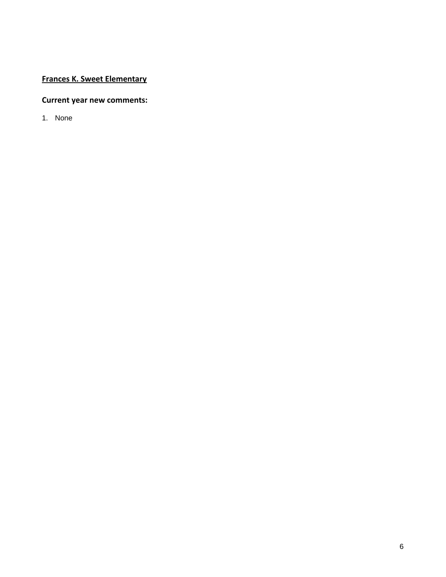# **Frances K. Sweet Elementary**

### **Current year new comments:**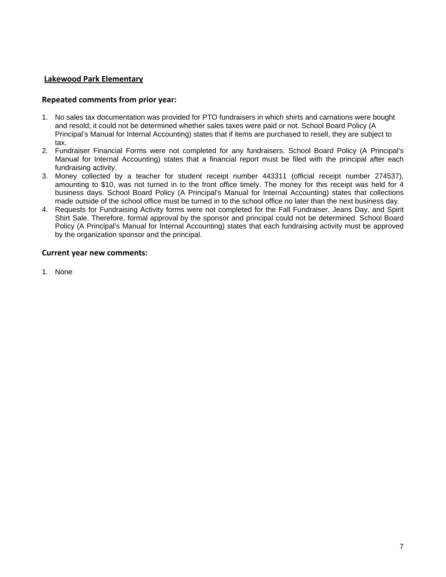#### **Lakewood Park Elementary**

#### **Repeated comments from prior year:**

- 1. No sales tax documentation was provided for PTO fundraisers in which shirts and carnations were bought and resold; it could not be determined whether sales taxes were paid or not. School Board Policy (A Principal's Manual for Internal Accounting) states that if items are purchased to resell, they are subject to tax.
- 2. Fundraiser Financial Forms were not completed for any fundraisers. School Board Policy (A Principal's Manual for Internal Accounting) states that a financial report must be filed with the principal after each fundraising activity.
- 3. Money collected by a teacher for student receipt number 443311 (official receipt number 274537), amounting to \$10, was not turned in to the front office timely. The money for this receipt was held for 4 business days. School Board Policy (A Principal's Manual for Internal Accounting) states that collections made outside of the school office must be turned in to the school office no later than the next business day.
- 4. Requests for Fundraising Activity forms were not completed for the Fall Fundraiser, Jeans Day, and Spirit Shirt Sale. Therefore, formal approval by the sponsor and principal could not be determined. School Board Policy (A Principal's Manual for Internal Accounting) states that each fundraising activity must be approved by the organization sponsor and the principal.

#### **Current year new comments:**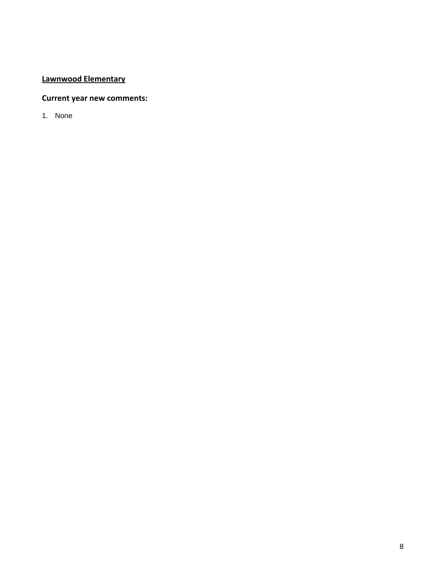# **Lawnwood Elementary**

# **Current year new comments:**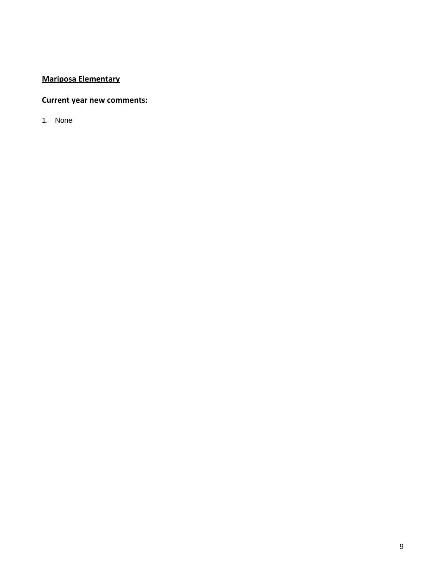# **Mariposa Elementary**

### **Current year new comments:**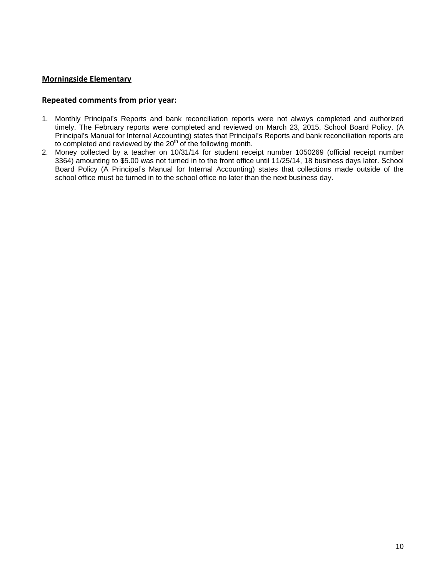#### **Morningside Elementary**

#### **Repeated comments from prior year:**

- 1. Monthly Principal's Reports and bank reconciliation reports were not always completed and authorized timely. The February reports were completed and reviewed on March 23, 2015. School Board Policy. (A Principal's Manual for Internal Accounting) states that Principal's Reports and bank reconciliation reports are to completed and reviewed by the  $20<sup>th</sup>$  of the following month.
- 2. Money collected by a teacher on 10/31/14 for student receipt number 1050269 (official receipt number 3364) amounting to \$5.00 was not turned in to the front office until 11/25/14, 18 business days later. School Board Policy (A Principal's Manual for Internal Accounting) states that collections made outside of the school office must be turned in to the school office no later than the next business day.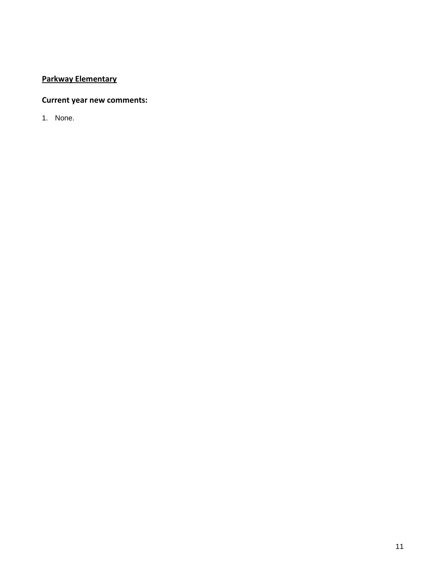# **Parkway Elementary**

### **Current year new comments:**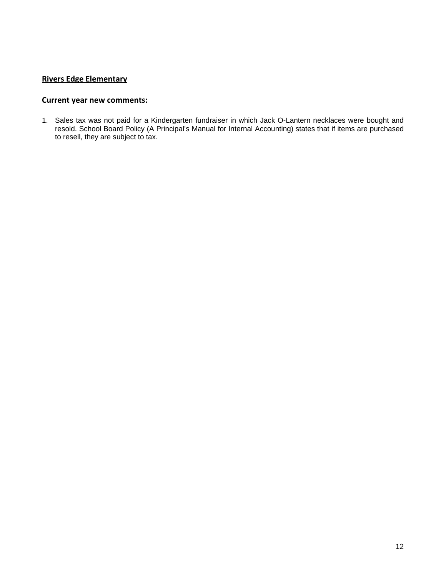### **Rivers Edge Elementary**

#### **Current year new comments:**

1. Sales tax was not paid for a Kindergarten fundraiser in which Jack O-Lantern necklaces were bought and resold. School Board Policy (A Principal's Manual for Internal Accounting) states that if items are purchased to resell, they are subject to tax.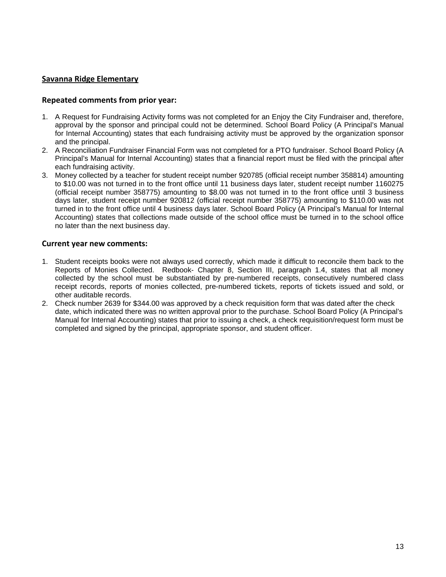#### **Savanna Ridge Elementary**

#### **Repeated comments from prior year:**

- 1. A Request for Fundraising Activity forms was not completed for an Enjoy the City Fundraiser and, therefore, approval by the sponsor and principal could not be determined. School Board Policy (A Principal's Manual for Internal Accounting) states that each fundraising activity must be approved by the organization sponsor and the principal.
- 2. A Reconciliation Fundraiser Financial Form was not completed for a PTO fundraiser. School Board Policy (A Principal's Manual for Internal Accounting) states that a financial report must be filed with the principal after each fundraising activity.
- 3. Money collected by a teacher for student receipt number 920785 (official receipt number 358814) amounting to \$10.00 was not turned in to the front office until 11 business days later, student receipt number 1160275 (official receipt number 358775) amounting to \$8.00 was not turned in to the front office until 3 business days later, student receipt number 920812 (official receipt number 358775) amounting to \$110.00 was not turned in to the front office until 4 business days later. School Board Policy (A Principal's Manual for Internal Accounting) states that collections made outside of the school office must be turned in to the school office no later than the next business day.

- 1. Student receipts books were not always used correctly, which made it difficult to reconcile them back to the Reports of Monies Collected. Redbook- Chapter 8, Section III, paragraph 1.4, states that all money collected by the school must be substantiated by pre-numbered receipts, consecutively numbered class receipt records, reports of monies collected, pre-numbered tickets, reports of tickets issued and sold, or other auditable records.
- 2. Check number 2639 for \$344.00 was approved by a check requisition form that was dated after the check date, which indicated there was no written approval prior to the purchase. School Board Policy (A Principal's Manual for Internal Accounting) states that prior to issuing a check, a check requisition/request form must be completed and signed by the principal, appropriate sponsor, and student officer.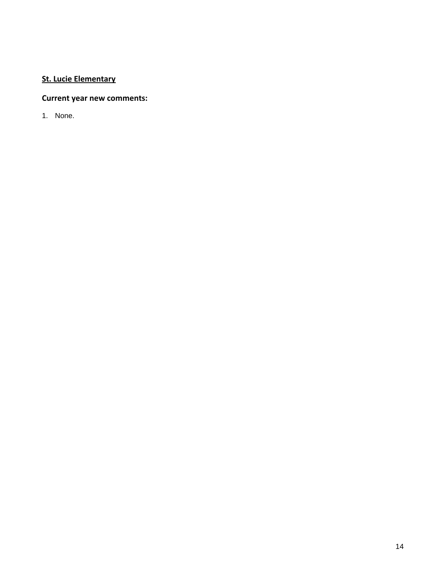# **St. Lucie Elementary**

# **Current year new comments:**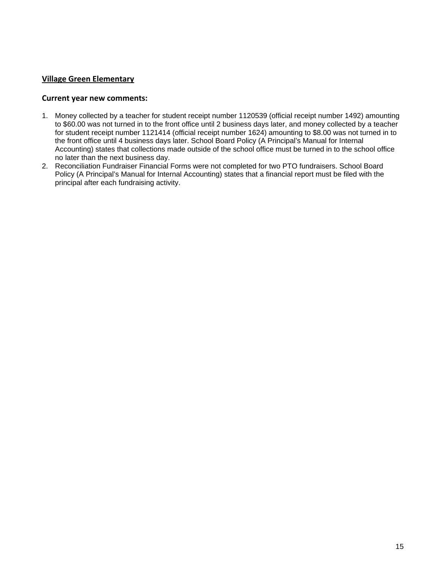#### **Village Green Elementary**

- 1. Money collected by a teacher for student receipt number 1120539 (official receipt number 1492) amounting to \$60.00 was not turned in to the front office until 2 business days later, and money collected by a teacher for student receipt number 1121414 (official receipt number 1624) amounting to \$8.00 was not turned in to the front office until 4 business days later. School Board Policy (A Principal's Manual for Internal Accounting) states that collections made outside of the school office must be turned in to the school office no later than the next business day.
- 2. Reconciliation Fundraiser Financial Forms were not completed for two PTO fundraisers. School Board Policy (A Principal's Manual for Internal Accounting) states that a financial report must be filed with the principal after each fundraising activity.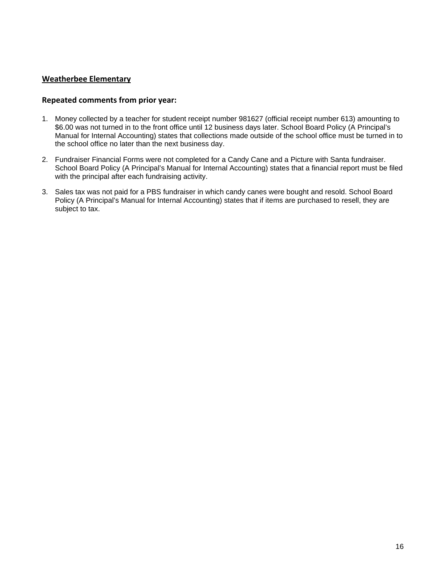#### **Weatherbee Elementary**

#### **Repeated comments from prior year:**

- 1. Money collected by a teacher for student receipt number 981627 (official receipt number 613) amounting to \$6.00 was not turned in to the front office until 12 business days later. School Board Policy (A Principal's Manual for Internal Accounting) states that collections made outside of the school office must be turned in to the school office no later than the next business day.
- 2. Fundraiser Financial Forms were not completed for a Candy Cane and a Picture with Santa fundraiser. School Board Policy (A Principal's Manual for Internal Accounting) states that a financial report must be filed with the principal after each fundraising activity.
- 3. Sales tax was not paid for a PBS fundraiser in which candy canes were bought and resold. School Board Policy (A Principal's Manual for Internal Accounting) states that if items are purchased to resell, they are subject to tax.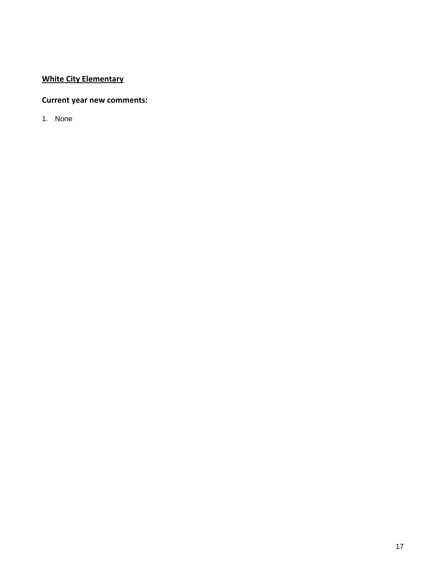# **White City Elementary**

### **Current year new comments:**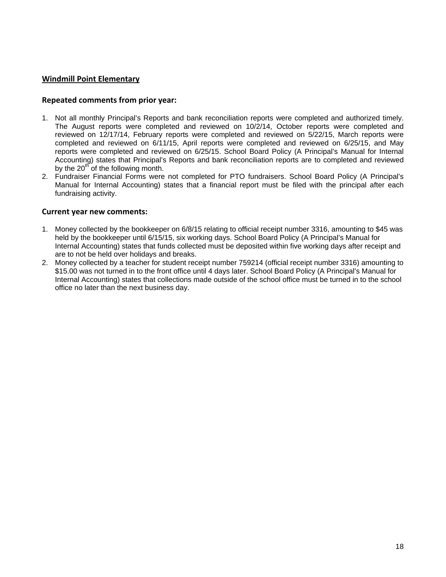#### **Windmill Point Elementary**

#### **Repeated comments from prior year:**

- 1. Not all monthly Principal's Reports and bank reconciliation reports were completed and authorized timely. The August reports were completed and reviewed on 10/2/14, October reports were completed and reviewed on 12/17/14, February reports were completed and reviewed on 5/22/15, March reports were completed and reviewed on 6/11/15, April reports were completed and reviewed on 6/25/15, and May reports were completed and reviewed on 6/25/15. School Board Policy (A Principal's Manual for Internal Accounting) states that Principal's Reports and bank reconciliation reports are to completed and reviewed by the  $20<sup>th</sup>$  of the following month.
- 2. Fundraiser Financial Forms were not completed for PTO fundraisers. School Board Policy (A Principal's Manual for Internal Accounting) states that a financial report must be filed with the principal after each fundraising activity.

- 1. Money collected by the bookkeeper on 6/8/15 relating to official receipt number 3316, amounting to \$45 was held by the bookkeeper until 6/15/15, six working days. School Board Policy (A Principal's Manual for Internal Accounting) states that funds collected must be deposited within five working days after receipt and are to not be held over holidays and breaks.
- 2. Money collected by a teacher for student receipt number 759214 (official receipt number 3316) amounting to \$15.00 was not turned in to the front office until 4 days later. School Board Policy (A Principal's Manual for Internal Accounting) states that collections made outside of the school office must be turned in to the school office no later than the next business day.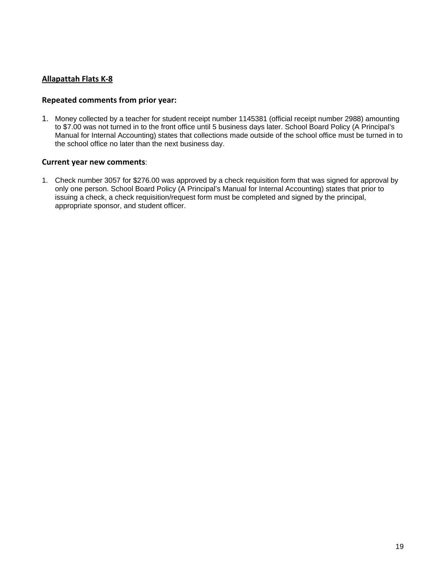### **Allapattah Flats K‐8**

#### **Repeated comments from prior year:**

1. Money collected by a teacher for student receipt number 1145381 (official receipt number 2988) amounting to \$7.00 was not turned in to the front office until 5 business days later. School Board Policy (A Principal's Manual for Internal Accounting) states that collections made outside of the school office must be turned in to the school office no later than the next business day.

#### **Current year new comments**:

1. Check number 3057 for \$276.00 was approved by a check requisition form that was signed for approval by only one person. School Board Policy (A Principal's Manual for Internal Accounting) states that prior to issuing a check, a check requisition/request form must be completed and signed by the principal, appropriate sponsor, and student officer.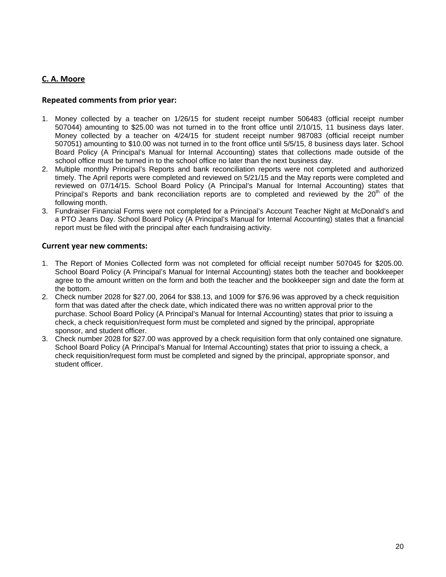### **C. A. Moore**

#### **Repeated comments from prior year:**

- 1. Money collected by a teacher on 1/26/15 for student receipt number 506483 (official receipt number 507044) amounting to \$25.00 was not turned in to the front office until 2/10/15, 11 business days later. Money collected by a teacher on 4/24/15 for student receipt number 987083 (official receipt number 507051) amounting to \$10.00 was not turned in to the front office until 5/5/15, 8 business days later. School Board Policy (A Principal's Manual for Internal Accounting) states that collections made outside of the school office must be turned in to the school office no later than the next business day.
- 2. Multiple monthly Principal's Reports and bank reconciliation reports were not completed and authorized timely. The April reports were completed and reviewed on 5/21/15 and the May reports were completed and reviewed on 07/14/15. School Board Policy (A Principal's Manual for Internal Accounting) states that Principal's Reports and bank reconciliation reports are to completed and reviewed by the  $20<sup>th</sup>$  of the following month.
- 3. Fundraiser Financial Forms were not completed for a Principal's Account Teacher Night at McDonald's and a PTO Jeans Day. School Board Policy (A Principal's Manual for Internal Accounting) states that a financial report must be filed with the principal after each fundraising activity.

- 1. The Report of Monies Collected form was not completed for official receipt number 507045 for \$205.00. School Board Policy (A Principal's Manual for Internal Accounting) states both the teacher and bookkeeper agree to the amount written on the form and both the teacher and the bookkeeper sign and date the form at the bottom.
- 2. Check number 2028 for \$27.00, 2064 for \$38.13, and 1009 for \$76.96 was approved by a check requisition form that was dated after the check date, which indicated there was no written approval prior to the purchase. School Board Policy (A Principal's Manual for Internal Accounting) states that prior to issuing a check, a check requisition/request form must be completed and signed by the principal, appropriate sponsor, and student officer.
- 3. Check number 2028 for \$27.00 was approved by a check requisition form that only contained one signature. School Board Policy (A Principal's Manual for Internal Accounting) states that prior to issuing a check, a check requisition/request form must be completed and signed by the principal, appropriate sponsor, and student officer.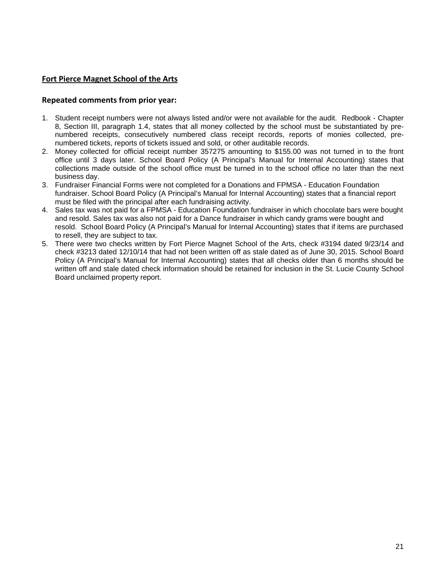#### **Fort Pierce Magnet School of the Arts**

#### **Repeated comments from prior year:**

- 1. Student receipt numbers were not always listed and/or were not available for the audit. Redbook Chapter 8, Section III, paragraph 1.4, states that all money collected by the school must be substantiated by prenumbered receipts, consecutively numbered class receipt records, reports of monies collected, prenumbered tickets, reports of tickets issued and sold, or other auditable records.
- 2. Money collected for official receipt number 357275 amounting to \$155.00 was not turned in to the front office until 3 days later. School Board Policy (A Principal's Manual for Internal Accounting) states that collections made outside of the school office must be turned in to the school office no later than the next business day.
- 3. Fundraiser Financial Forms were not completed for a Donations and FPMSA Education Foundation fundraiser. School Board Policy (A Principal's Manual for Internal Accounting) states that a financial report must be filed with the principal after each fundraising activity.
- 4. Sales tax was not paid for a FPMSA Education Foundation fundraiser in which chocolate bars were bought and resold. Sales tax was also not paid for a Dance fundraiser in which candy grams were bought and resold. School Board Policy (A Principal's Manual for Internal Accounting) states that if items are purchased to resell, they are subject to tax.
- 5. There were two checks written by Fort Pierce Magnet School of the Arts, check #3194 dated 9/23/14 and check #3213 dated 12/10/14 that had not been written off as stale dated as of June 30, 2015. School Board Policy (A Principal's Manual for Internal Accounting) states that all checks older than 6 months should be written off and stale dated check information should be retained for inclusion in the St. Lucie County School Board unclaimed property report.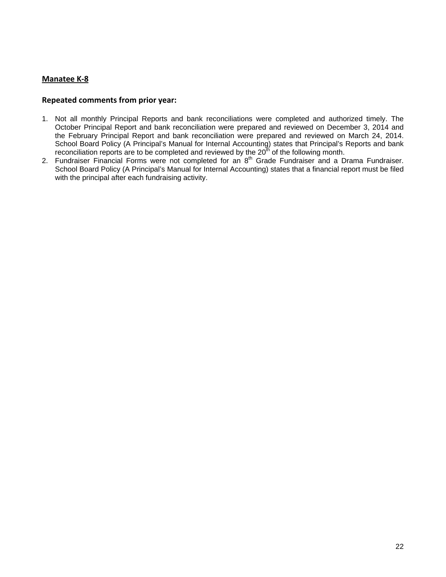#### **Manatee K‐8**

#### **Repeated comments from prior year:**

- 1. Not all monthly Principal Reports and bank reconciliations were completed and authorized timely. The October Principal Report and bank reconciliation were prepared and reviewed on December 3, 2014 and the February Principal Report and bank reconciliation were prepared and reviewed on March 24, 2014. School Board Policy (A Principal's Manual for Internal Accounting) states that Principal's Reports and bank reconciliation reports are to be completed and reviewed by the  $20<sup>th</sup>$  of the following month.
- 2. Fundraiser Financial Forms were not completed for an  $8<sup>th</sup>$  Grade Fundraiser and a Drama Fundraiser. School Board Policy (A Principal's Manual for Internal Accounting) states that a financial report must be filed with the principal after each fundraising activity.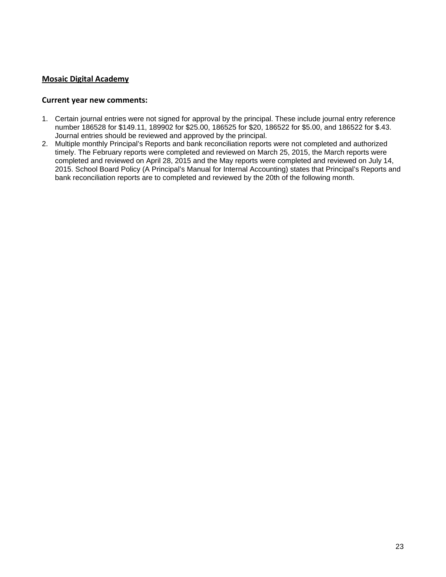#### **Mosaic Digital Academy**

- 1. Certain journal entries were not signed for approval by the principal. These include journal entry reference number 186528 for \$149.11, 189902 for \$25.00, 186525 for \$20, 186522 for \$5.00, and 186522 for \$.43. Journal entries should be reviewed and approved by the principal.
- 2. Multiple monthly Principal's Reports and bank reconciliation reports were not completed and authorized timely. The February reports were completed and reviewed on March 25, 2015, the March reports were completed and reviewed on April 28, 2015 and the May reports were completed and reviewed on July 14, 2015. School Board Policy (A Principal's Manual for Internal Accounting) states that Principal's Reports and bank reconciliation reports are to completed and reviewed by the 20th of the following month.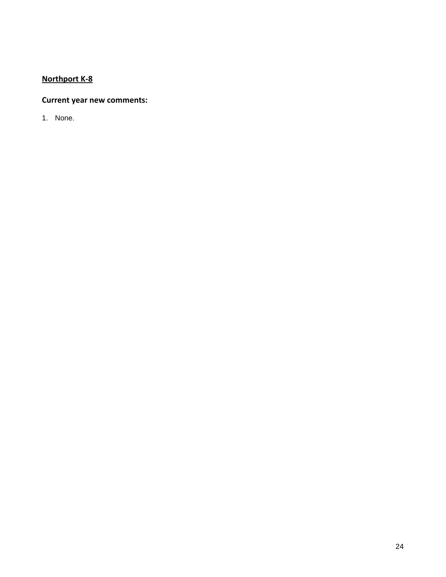# **Northport K‐8**

### **Current year new comments:**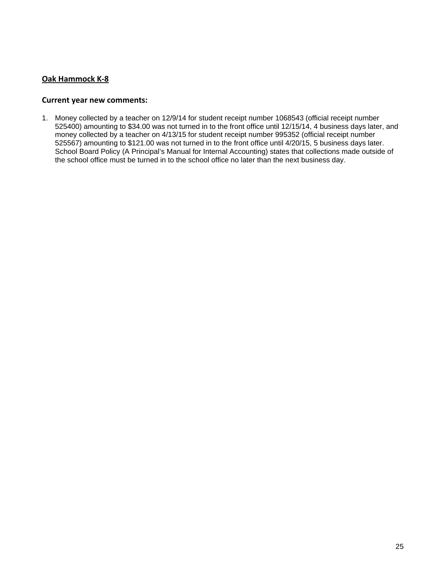#### **Oak Hammock K‐8**

#### **Current year new comments:**

1. Money collected by a teacher on 12/9/14 for student receipt number 1068543 (official receipt number 525400) amounting to \$34.00 was not turned in to the front office until 12/15/14, 4 business days later, and money collected by a teacher on 4/13/15 for student receipt number 995352 (official receipt number 525567) amounting to \$121.00 was not turned in to the front office until 4/20/15, 5 business days later. School Board Policy (A Principal's Manual for Internal Accounting) states that collections made outside of the school office must be turned in to the school office no later than the next business day.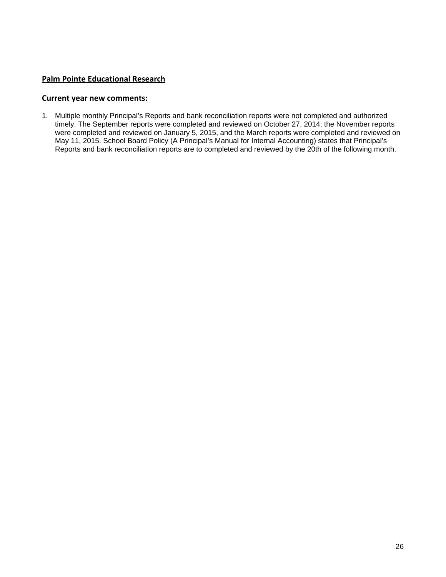#### **Palm Pointe Educational Research**

#### **Current year new comments:**

1. Multiple monthly Principal's Reports and bank reconciliation reports were not completed and authorized timely. The September reports were completed and reviewed on October 27, 2014; the November reports were completed and reviewed on January 5, 2015, and the March reports were completed and reviewed on May 11, 2015. School Board Policy (A Principal's Manual for Internal Accounting) states that Principal's Reports and bank reconciliation reports are to completed and reviewed by the 20th of the following month.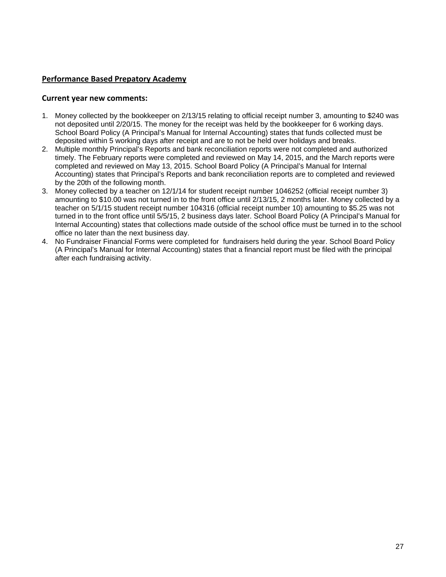#### **Performance Based Prepatory Academy**

- 1. Money collected by the bookkeeper on 2/13/15 relating to official receipt number 3, amounting to \$240 was not deposited until 2/20/15. The money for the receipt was held by the bookkeeper for 6 working days. School Board Policy (A Principal's Manual for Internal Accounting) states that funds collected must be deposited within 5 working days after receipt and are to not be held over holidays and breaks.
- 2. Multiple monthly Principal's Reports and bank reconciliation reports were not completed and authorized timely. The February reports were completed and reviewed on May 14, 2015, and the March reports were completed and reviewed on May 13, 2015. School Board Policy (A Principal's Manual for Internal Accounting) states that Principal's Reports and bank reconciliation reports are to completed and reviewed by the 20th of the following month.
- 3. Money collected by a teacher on 12/1/14 for student receipt number 1046252 (official receipt number 3) amounting to \$10.00 was not turned in to the front office until 2/13/15, 2 months later. Money collected by a teacher on 5/1/15 student receipt number 104316 (official receipt number 10) amounting to \$5.25 was not turned in to the front office until 5/5/15, 2 business days later. School Board Policy (A Principal's Manual for Internal Accounting) states that collections made outside of the school office must be turned in to the school office no later than the next business day.
- 4. No Fundraiser Financial Forms were completed for fundraisers held during the year. School Board Policy (A Principal's Manual for Internal Accounting) states that a financial report must be filed with the principal after each fundraising activity.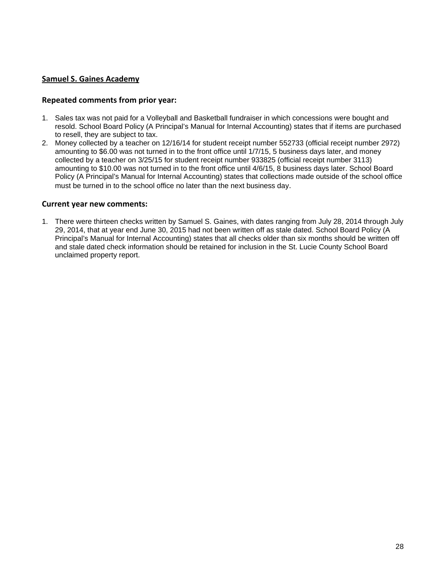#### **Samuel S. Gaines Academy**

#### **Repeated comments from prior year:**

- 1. Sales tax was not paid for a Volleyball and Basketball fundraiser in which concessions were bought and resold. School Board Policy (A Principal's Manual for Internal Accounting) states that if items are purchased to resell, they are subject to tax.
- 2. Money collected by a teacher on 12/16/14 for student receipt number 552733 (official receipt number 2972) amounting to \$6.00 was not turned in to the front office until 1/7/15, 5 business days later, and money collected by a teacher on 3/25/15 for student receipt number 933825 (official receipt number 3113) amounting to \$10.00 was not turned in to the front office until 4/6/15, 8 business days later. School Board Policy (A Principal's Manual for Internal Accounting) states that collections made outside of the school office must be turned in to the school office no later than the next business day.

#### **Current year new comments:**

1. There were thirteen checks written by Samuel S. Gaines, with dates ranging from July 28, 2014 through July 29, 2014, that at year end June 30, 2015 had not been written off as stale dated. School Board Policy (A Principal's Manual for Internal Accounting) states that all checks older than six months should be written off and stale dated check information should be retained for inclusion in the St. Lucie County School Board unclaimed property report.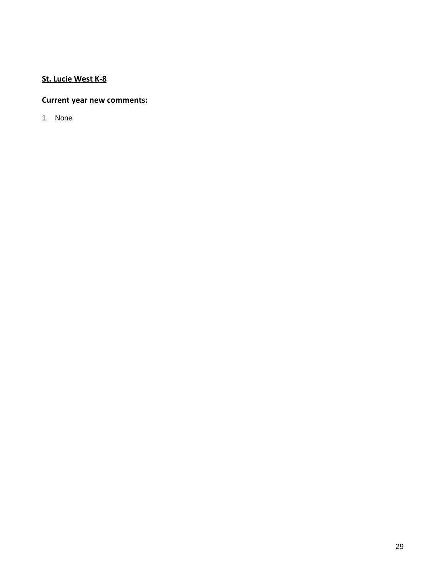# **St. Lucie West K‐8**

### **Current year new comments:**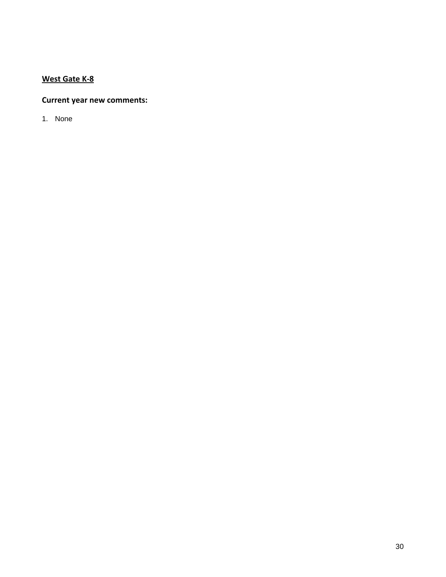# **West Gate K‐8**

### **Current year new comments:**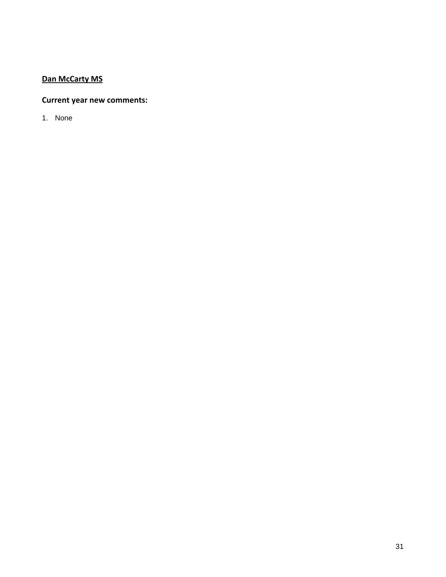# **Dan McCarty MS**

### **Current year new comments:**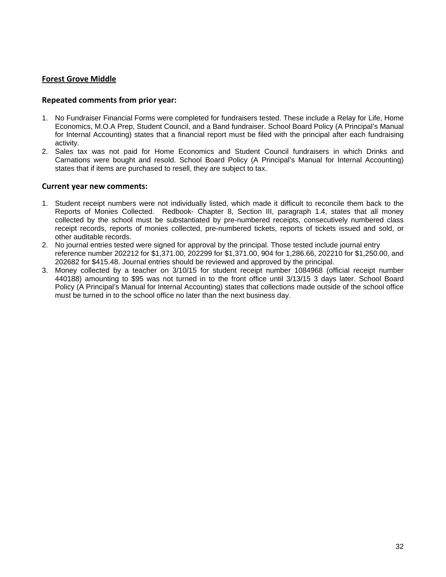#### **Forest Grove Middle**

#### **Repeated comments from prior year:**

- 1. No Fundraiser Financial Forms were completed for fundraisers tested. These include a Relay for Life, Home Economics, M.O.A Prep, Student Council, and a Band fundraiser. School Board Policy (A Principal's Manual for Internal Accounting) states that a financial report must be filed with the principal after each fundraising activity.
- 2. Sales tax was not paid for Home Economics and Student Council fundraisers in which Drinks and Carnations were bought and resold. School Board Policy (A Principal's Manual for Internal Accounting) states that if items are purchased to resell, they are subject to tax.

- 1. Student receipt numbers were not individually listed, which made it difficult to reconcile them back to the Reports of Monies Collected. Redbook- Chapter 8, Section III, paragraph 1.4, states that all money collected by the school must be substantiated by pre-numbered receipts, consecutively numbered class receipt records, reports of monies collected, pre-numbered tickets, reports of tickets issued and sold, or other auditable records.
- 2. No journal entries tested were signed for approval by the principal. Those tested include journal entry reference number 202212 for \$1,371.00, 202299 for \$1,371.00, 904 for 1,286.66, 202210 for \$1,250.00, and 202682 for \$415.48. Journal entries should be reviewed and approved by the principal.
- 3. Money collected by a teacher on 3/10/15 for student receipt number 1084968 (official receipt number 440188) amounting to \$95 was not turned in to the front office until 3/13/15 3 days later. School Board Policy (A Principal's Manual for Internal Accounting) states that collections made outside of the school office must be turned in to the school office no later than the next business day.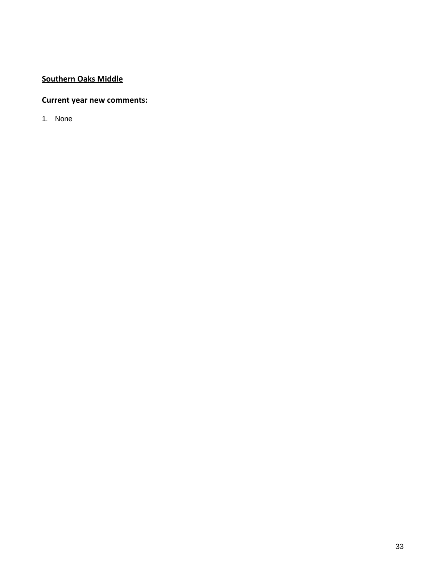# **Southern Oaks Middle**

### **Current year new comments:**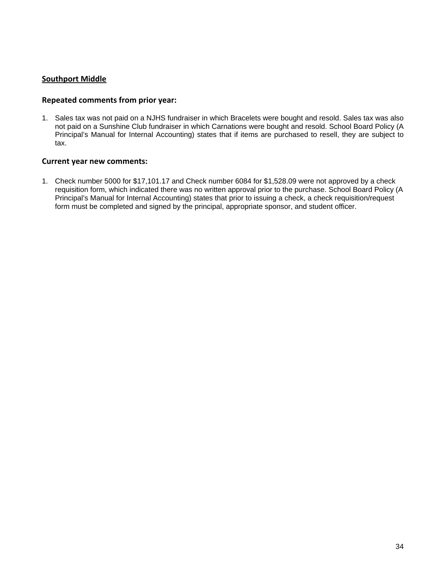#### **Southport Middle**

#### **Repeated comments from prior year:**

1. Sales tax was not paid on a NJHS fundraiser in which Bracelets were bought and resold. Sales tax was also not paid on a Sunshine Club fundraiser in which Carnations were bought and resold. School Board Policy (A Principal's Manual for Internal Accounting) states that if items are purchased to resell, they are subject to tax.

#### **Current year new comments:**

1. Check number 5000 for \$17,101.17 and Check number 6084 for \$1,528.09 were not approved by a check requisition form, which indicated there was no written approval prior to the purchase. School Board Policy (A Principal's Manual for Internal Accounting) states that prior to issuing a check, a check requisition/request form must be completed and signed by the principal, appropriate sponsor, and student officer.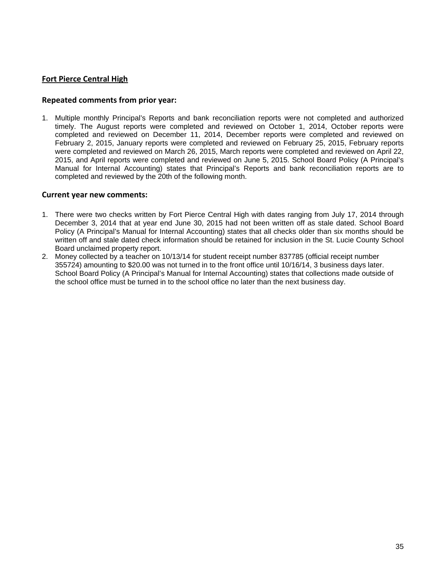#### **Fort Pierce Central High**

#### **Repeated comments from prior year:**

1. Multiple monthly Principal's Reports and bank reconciliation reports were not completed and authorized timely. The August reports were completed and reviewed on October 1, 2014, October reports were completed and reviewed on December 11, 2014, December reports were completed and reviewed on February 2, 2015, January reports were completed and reviewed on February 25, 2015, February reports were completed and reviewed on March 26, 2015, March reports were completed and reviewed on April 22, 2015, and April reports were completed and reviewed on June 5, 2015. School Board Policy (A Principal's Manual for Internal Accounting) states that Principal's Reports and bank reconciliation reports are to completed and reviewed by the 20th of the following month.

- 1. There were two checks written by Fort Pierce Central High with dates ranging from July 17, 2014 through December 3, 2014 that at year end June 30, 2015 had not been written off as stale dated. School Board Policy (A Principal's Manual for Internal Accounting) states that all checks older than six months should be written off and stale dated check information should be retained for inclusion in the St. Lucie County School Board unclaimed property report.
- 2. Money collected by a teacher on 10/13/14 for student receipt number 837785 (official receipt number 355724) amounting to \$20.00 was not turned in to the front office until 10/16/14, 3 business days later. School Board Policy (A Principal's Manual for Internal Accounting) states that collections made outside of the school office must be turned in to the school office no later than the next business day.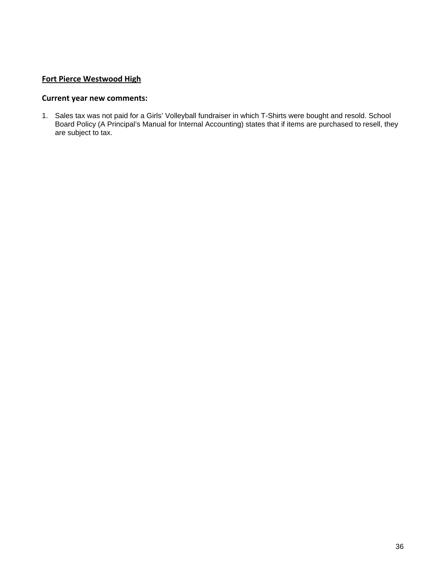#### **Fort Pierce Westwood High**

### **Current year new comments:**

1. Sales tax was not paid for a Girls' Volleyball fundraiser in which T-Shirts were bought and resold. School Board Policy (A Principal's Manual for Internal Accounting) states that if items are purchased to resell, they are subject to tax.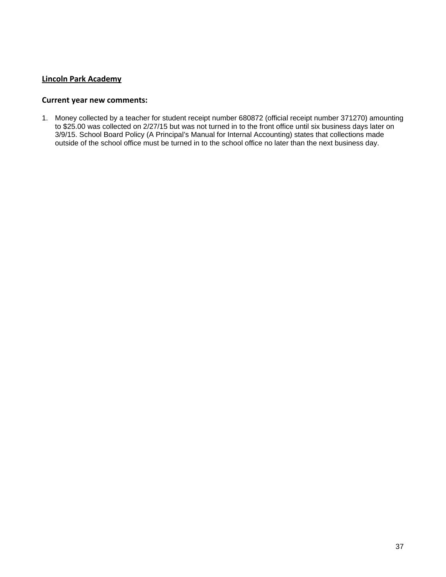#### **Lincoln Park Academy**

#### **Current year new comments:**

1. Money collected by a teacher for student receipt number 680872 (official receipt number 371270) amounting to \$25.00 was collected on 2/27/15 but was not turned in to the front office until six business days later on 3/9/15. School Board Policy (A Principal's Manual for Internal Accounting) states that collections made outside of the school office must be turned in to the school office no later than the next business day.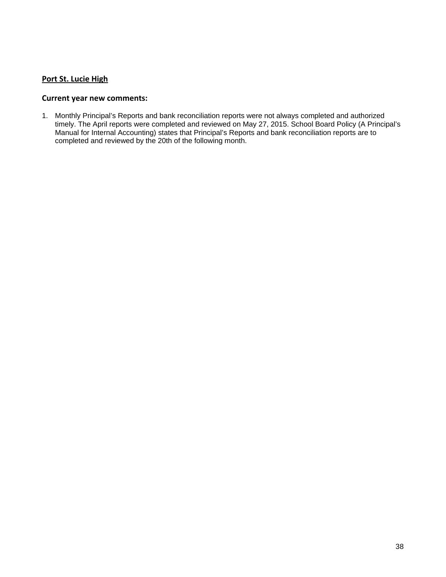#### **Port St. Lucie High**

#### **Current year new comments:**

1. Monthly Principal's Reports and bank reconciliation reports were not always completed and authorized timely. The April reports were completed and reviewed on May 27, 2015. School Board Policy (A Principal's Manual for Internal Accounting) states that Principal's Reports and bank reconciliation reports are to completed and reviewed by the 20th of the following month.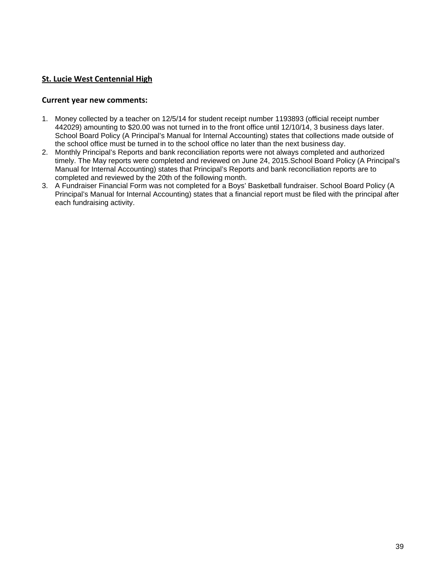#### **St. Lucie West Centennial High**

- 1. Money collected by a teacher on 12/5/14 for student receipt number 1193893 (official receipt number 442029) amounting to \$20.00 was not turned in to the front office until 12/10/14, 3 business days later. School Board Policy (A Principal's Manual for Internal Accounting) states that collections made outside of the school office must be turned in to the school office no later than the next business day.
- 2. Monthly Principal's Reports and bank reconciliation reports were not always completed and authorized timely. The May reports were completed and reviewed on June 24, 2015. School Board Policy (A Principal's Manual for Internal Accounting) states that Principal's Reports and bank reconciliation reports are to completed and reviewed by the 20th of the following month.
- 3. A Fundraiser Financial Form was not completed for a Boys' Basketball fundraiser. School Board Policy (A Principal's Manual for Internal Accounting) states that a financial report must be filed with the principal after each fundraising activity.